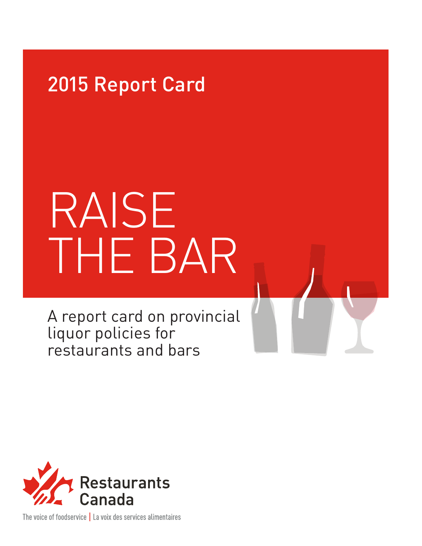### 2015 Report Card

# RAISE THE BAR

A report card on provincial liquor policies for restaurants and bars



The voice of foodservice | La voix des services alimentaires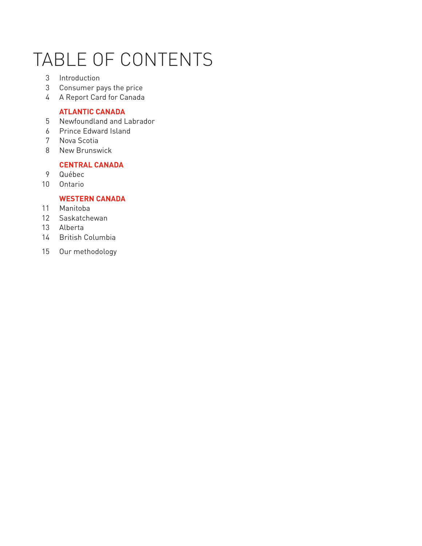# TABLE OF CONTENTS

- Introduction
- Consumer pays the price
- A Report Card for Canada

#### **ATLANTIC CANADA**

- Newfoundland and Labrador
- Prince Edward Island
- Nova Scotia
- New Brunswick

#### **CENTRAL CANADA**

- Québec
- Ontario

#### **WESTERN CANADA**

- Manitoba
- Saskatchewan
- Alberta
- British Columbia
- Our methodology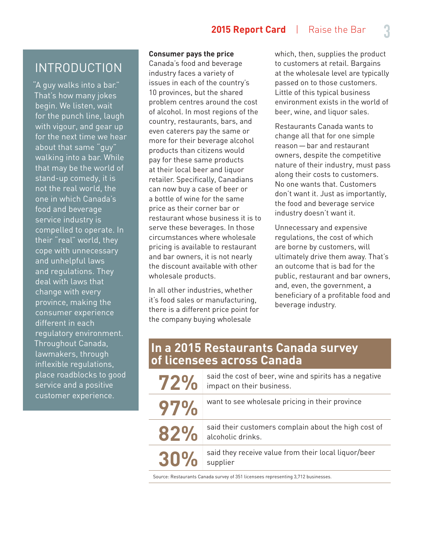#### **2015 Report Card** | Raise the Bar **3**

#### INTRODUCTION

"A guy walks into a bar." That's how many jokes begin. We listen, wait for the punch line, laugh with vigour, and gear up for the next time we hear about that same "guy" walking into a bar. While that may be the world of stand-up comedy, it is not the real world, the one in which Canada's food and beverage service industry is compelled to operate. In their "real" world, they cope with unnecessary and unhelpful laws and regulations. They deal with laws that change with every province, making the consumer experience different in each regulatory environment. Throughout Canada, lawmakers, through inflexible regulations, place roadblocks to good service and a positive customer experience.

#### **Consumer pays the price**

Canada's food and beverage industry faces a variety of issues in each of the country's 10 provinces, but the shared problem centres around the cost of alcohol. In most regions of the country, restaurants, bars, and even caterers pay the same or more for their beverage alcohol products than citizens would pay for these same products at their local beer and liquor retailer. Specifically, Canadians can now buy a case of beer or a bottle of wine for the same price as their corner bar or restaurant whose business it is to serve these beverages. In those circumstances where wholesale pricing is available to restaurant and bar owners, it is not nearly the discount available with other wholesale products.

In all other industries, whether it's food sales or manufacturing, there is a different price point for the company buying wholesale

which, then, supplies the product to customers at retail. Bargains at the wholesale level are typically passed on to those customers. Little of this typical business environment exists in the world of beer, wine, and liquor sales.

Restaurants Canada wants to change all that for one simple reason—bar and restaurant owners, despite the competitive nature of their industry, must pass along their costs to customers. No one wants that. Customers don't want it. Just as importantly, the food and beverage service industry doesn't want it.

Unnecessary and expensive regulations, the cost of which are borne by customers, will ultimately drive them away. That's an outcome that is bad for the public, restaurant and bar owners, and, even, the government, a beneficiary of a profitable food and beverage industry.

#### **In a 2015 Restaurants Canada survey of licensees across Canada**

| 72% | said the cost of beer, wine and spirits has a negative<br>impact on their business. |
|-----|-------------------------------------------------------------------------------------|
| 97% | want to see wholesale pricing in their province                                     |
| 82% | said their customers complain about the high cost of<br>alcoholic drinks.           |
| 30% | said they receive value from their local liquor/beer<br>supplier                    |

Source: Restaurants Canada survey of 351 licensees representing 3,712 businesses.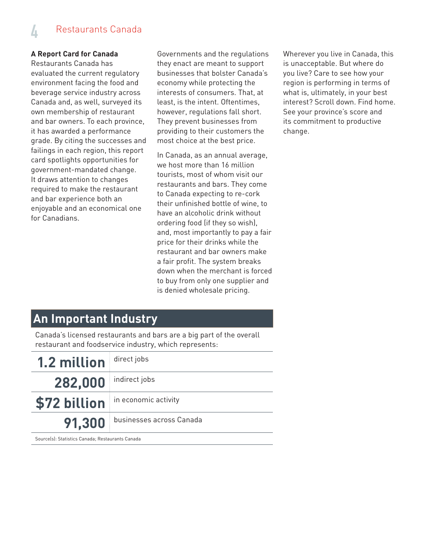### Restaurants Canada **4**

#### **A Report Card for Canada**

Restaurants Canada has evaluated the current regulatory environment facing the food and beverage service industry across Canada and, as well, surveyed its own membership of restaurant and bar owners. To each province, it has awarded a performance grade. By citing the successes and failings in each region, this report card spotlights opportunities for government-mandated change. It draws attention to changes required to make the restaurant and bar experience both an enjoyable and an economical one for Canadians.

Governments and the regulations they enact are meant to support businesses that bolster Canada's economy while protecting the interests of consumers. That, at least, is the intent. Oftentimes, however, regulations fall short. They prevent businesses from providing to their customers the most choice at the best price.

In Canada, as an annual average, we host more than 16 million tourists, most of whom visit our restaurants and bars. They come to Canada expecting to re-cork their unfinished bottle of wine, to have an alcoholic drink without ordering food (if they so wish), and, most importantly to pay a fair price for their drinks while the restaurant and bar owners make a fair profit. The system breaks down when the merchant is forced to buy from only one supplier and is denied wholesale pricing.

Wherever you live in Canada, this is unacceptable. But where do you live? Care to see how your region is performing in terms of what is, ultimately, in your best interest? Scroll down. Find home. See your province's score and its commitment to productive change.

### **An Important Industry**

Canada's licensed restaurants and bars are a big part of the overall restaurant and foodservice industry, which represents:

| <b>1.2 million</b>                               | direct jobs              |  |
|--------------------------------------------------|--------------------------|--|
| 282,000                                          | indirect jobs            |  |
| \$72 billion                                     | in economic activity     |  |
| 91,300                                           | businesses across Canada |  |
| Sourcels): Statistics Canada: Restaurants Canada |                          |  |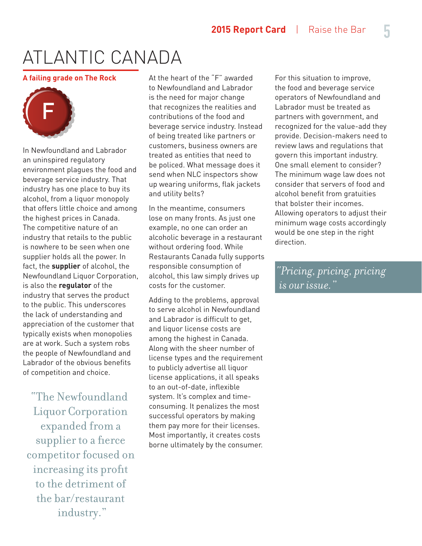#### **A failing grade on The Rock**



In Newfoundland and Labrador an uninspired regulatory environment plagues the food and beverage service industry. That industry has one place to buy its alcohol, from a liquor monopoly that offers little choice and among the highest prices in Canada. The competitive nature of an industry that retails to the public is nowhere to be seen when one supplier holds all the power. In fact, the **supplier** of alcohol, the Newfoundland Liquor Corporation, is also the **regulator** of the industry that serves the product to the public. This underscores the lack of understanding and appreciation of the customer that typically exists when monopolies are at work. Such a system robs the people of Newfoundland and Labrador of the obvious benefits of competition and choice.

"The Newfoundland Liquor Corporation expanded from a supplier to a fierce competitor focused on increasing its profit to the detriment of the bar/restaurant industry."

At the heart of the "F" awarded to Newfoundland and Labrador is the need for major change that recognizes the realities and contributions of the food and beverage service industry. Instead of being treated like partners or customers, business owners are treated as entities that need to be policed. What message does it send when NLC inspectors show up wearing uniforms, flak jackets and utility belts?

In the meantime, consumers lose on many fronts. As just one example, no one can order an alcoholic beverage in a restaurant without ordering food. While Restaurants Canada fully supports responsible consumption of alcohol, this law simply drives up costs for the customer.

Adding to the problems, approval to serve alcohol in Newfoundland and Labrador is difficult to get, and liquor license costs are among the highest in Canada. Along with the sheer number of license types and the requirement to publicly advertise all liquor license applications, it all speaks to an out-of-date, inflexible system. It's complex and timeconsuming. It penalizes the most successful operators by making them pay more for their licenses. Most importantly, it creates costs borne ultimately by the consumer.

For this situation to improve, the food and beverage service operators of Newfoundland and Labrador must be treated as partners with government, and recognized for the value-add they provide. Decision-makers need to review laws and regulations that govern this important industry. One small element to consider? The minimum wage law does not consider that servers of food and alcohol benefit from gratuities that bolster their incomes. Allowing operators to adjust their minimum wage costs accordingly would be one step in the right direction.

*"Pricing, pricing, pricing is our issue."*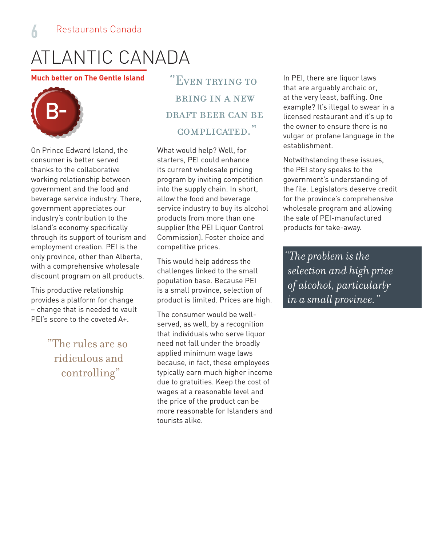#### **Much better on The Gentle Island**



On Prince Edward Island, the consumer is better served thanks to the collaborative working relationship between government and the food and beverage service industry. There, government appreciates our industry's contribution to the Island's economy specifically through its support of tourism and employment creation. PEI is the only province, other than Alberta, with a comprehensive wholesale discount program on all products.

This productive relationship provides a platform for change – change that is needed to vault PEI's score to the coveted A+.

> "The rules are so ridiculous and controlling"

"Even trying to bring in a new draft beer can be complicated."

What would help? Well, for starters, PEI could enhance its current wholesale pricing program by inviting competition into the supply chain. In short, allow the food and beverage service industry to buy its alcohol products from more than one supplier (the PEI Liquor Control Commission). Foster choice and competitive prices.

This would help address the challenges linked to the small population base. Because PEI is a small province, selection of product is limited. Prices are high.

The consumer would be wellserved, as well, by a recognition that individuals who serve liquor need not fall under the broadly applied minimum wage laws because, in fact, these employees typically earn much higher income due to gratuities. Keep the cost of wages at a reasonable level and the price of the product can be more reasonable for Islanders and tourists alike.

In PEI, there are liquor laws that are arguably archaic or, at the very least, baffling. One example? It's illegal to swear in a licensed restaurant and it's up to the owner to ensure there is no vulgar or profane language in the establishment.

Notwithstanding these issues, the PEI story speaks to the government's understanding of the file. Legislators deserve credit for the province's comprehensive wholesale program and allowing the sale of PEI-manufactured products for take-away.

*"The problem is the selection and high price of alcohol, particularly in a small province."*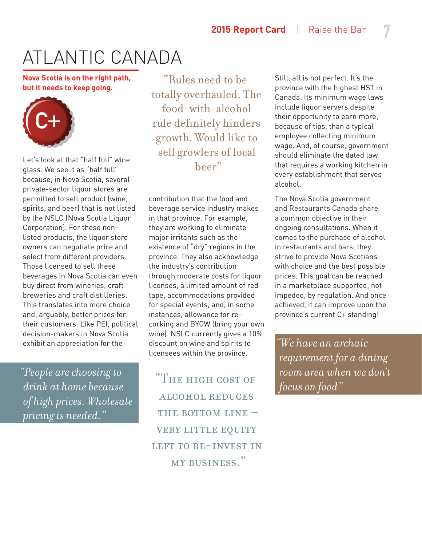**Nova Scotia is on the right path, but it needs to keep going.**



Let's look at that "half full" wine glass. We see it as "half full" because, in Nova Scotia, several private-sector liquor stores are permitted to sell product (wine, spirits, and beer) that is not listed by the NSLC (Nova Scotia Liquor Corporation). For these nonlisted products, the liquor store owners can negotiate price and select from different providers. Those licensed to sell these beverages in Nova Scotia can even buy direct from wineries, craft breweries and craft distilleries. This translates into more choice and, arguably, better prices for their customers. Like PEI, political decision-makers in Nova Scotia exhibit an appreciation for the

*"People are choosing to drink at home because of high prices. Wholesale pricing is needed."*

"Rules need to be totally overhauled. The food-with-alcohol rule definitely hinders growth. Would like to sell growlers of local beer"

contribution that the food and beverage service industry makes in that province. For example, they are working to eliminate major irritants such as the existence of "dry" regions in the province. They also acknowledge the industry's contribution through moderate costs for liquor licenses, a limited amount of red tape, accommodations provided for special events, and, in some instances, allowance for recorking and BYOW (bring your own wine). NSLC currently gives a 10% discount on wine and spirits to licensees within the province.

"The high cost of alcohol reduces THE BOTTOM LINE  $$ very little equity LEFT TO RE-INVEST IN my business."

Still, all is not perfect. It's the province with the highest HST in Canada. Its minimum wage laws include liquor servers despite their opportunity to earn more, because of tips, than a typical employee collecting minimum wage. And, of course, government should eliminate the dated law that requires a working kitchen in every establishment that serves alcohol.

The Nova Scotia government and Restaurants Canada share a common objective in their ongoing consultations. When it comes to the purchase of alcohol in restaurants and bars, they strive to provide Nova Scotians with choice and the best possible prices. This goal can be reached in a marketplace supported, not impeded, by regulation. And once achieved, it can improve upon the province's current C+ standing!

*"We have an archaic requirement for a dining room area when we don't focus on food"*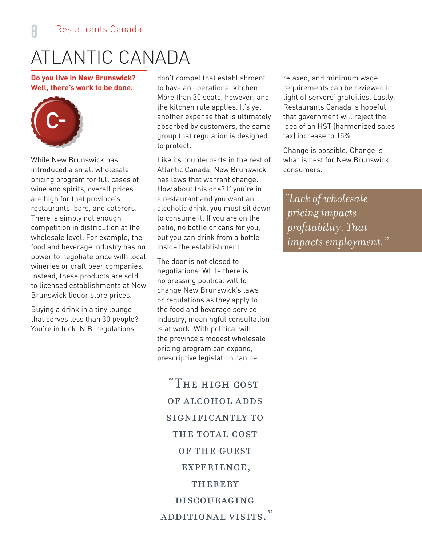**Do you live in New Brunswick? Well, there's work to be done.**



While New Brunswick has introduced a small wholesale pricing program for full cases of wine and spirits, overall prices are high for that province's restaurants, bars, and caterers. There is simply not enough competition in distribution at the wholesale level. For example, the food and beverage industry has no power to negotiate price with local wineries or craft beer companies. Instead, these products are sold to licensed establishments at New Brunswick liquor store prices.

Buying a drink in a tiny lounge that serves less than 30 people? You're in luck. N.B. regulations

don't compel that establishment to have an operational kitchen. More than 30 seats, however, and the kitchen rule applies. It's yet another expense that is ultimately absorbed by customers, the same group that regulation is designed to protect.

Like its counterparts in the rest of Atlantic Canada, New Brunswick has laws that warrant change. How about this one? If you're in a restaurant and you want an alcoholic drink, you must sit down to consume it. If you are on the patio, no bottle or cans for you, but you can drink from a bottle inside the establishment.

The door is not closed to negotiations. While there is no pressing political will to change New Brunswick's laws or regulations as they apply to the food and beverage service industry, meaningful consultation is at work. With political will, the province's modest wholesale pricing program can expand, prescriptive legislation can be

"The high cost of alcohol adds significantly to THE TOTAL COST of the guest experience, THEREBY discouraging additional visits."

relaxed, and minimum wage requirements can be reviewed in light of servers' gratuities. Lastly, Restaurants Canada is hopeful that government will reject the idea of an HST (harmonized sales tax) increase to 15%.

Change is possible. Change is what is best for New Brunswick consumers.

*"Lack of wholesale pricing impacts profitability. That impacts employment."*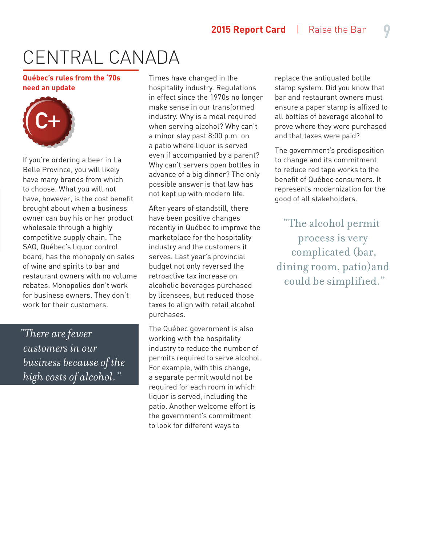# CENTRAL CANADA

**Québec's rules from the '70s need an update**



If you're ordering a beer in La Belle Province, you will likely have many brands from which to choose. What you will not have, however, is the cost benefit brought about when a business owner can buy his or her product wholesale through a highly competitive supply chain. The SAQ, Québec's liquor control board, has the monopoly on sales of wine and spirits to bar and restaurant owners with no volume rebates. Monopolies don't work for business owners. They don't work for their customers.

*"There are fewer customers in our business because of the high costs of alcohol."*

Times have changed in the hospitality industry. Regulations in effect since the 1970s no longer make sense in our transformed industry. Why is a meal required when serving alcohol? Why can't a minor stay past 8:00 p.m. on a patio where liquor is served even if accompanied by a parent? Why can't servers open bottles in advance of a big dinner? The only possible answer is that law has not kept up with modern life.

After years of standstill, there have been positive changes recently in Québec to improve the marketplace for the hospitality industry and the customers it serves. Last year's provincial budget not only reversed the retroactive tax increase on alcoholic beverages purchased by licensees, but reduced those taxes to align with retail alcohol purchases.

The Québec government is also working with the hospitality industry to reduce the number of permits required to serve alcohol. For example, with this change, a separate permit would not be required for each room in which liquor is served, including the patio. Another welcome effort is the government's commitment to look for different ways to

replace the antiquated bottle stamp system. Did you know that bar and restaurant owners must ensure a paper stamp is affixed to all bottles of beverage alcohol to prove where they were purchased and that taxes were paid?

The government's predisposition to change and its commitment to reduce red tape works to the benefit of Québec consumers. It represents modernization for the good of all stakeholders.

"The alcohol permit process is very complicated (bar, dining room, patio)and could be simplified."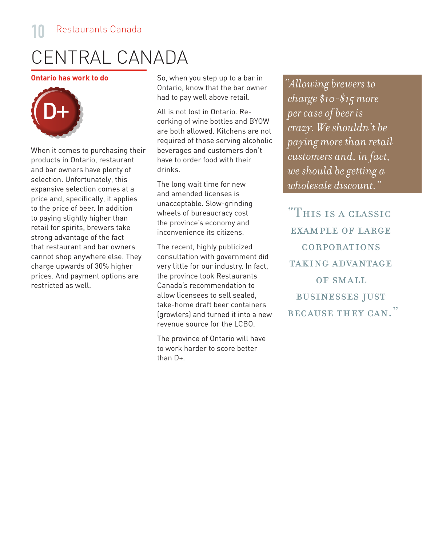### CENTRAL CANADA

**Ontario has work to do**



When it comes to purchasing their products in Ontario, restaurant and bar owners have plenty of selection. Unfortunately, this expansive selection comes at a price and, specifically, it applies to the price of beer. In addition to paying slightly higher than retail for spirits, brewers take strong advantage of the fact that restaurant and bar owners cannot shop anywhere else. They charge upwards of 30% higher prices. And payment options are restricted as well.

So, when you step up to a bar in Ontario, know that the bar owner had to pay well above retail.

All is not lost in Ontario. Recorking of wine bottles and BYOW are both allowed. Kitchens are not required of those serving alcoholic beverages and customers don't have to order food with their drinks.

The long wait time for new and amended licenses is unacceptable. Slow-grinding wheels of bureaucracy cost the province's economy and inconvenience its citizens.

The recent, highly publicized consultation with government did very little for our industry. In fact, the province took Restaurants Canada's recommendation to allow licensees to sell sealed, take-home draft beer containers (growlers) and turned it into a new revenue source for the LCBO.

The province of Ontario will have to work harder to score better than D+.

*"Allowing brewers to charge \$10-\$15 more per case of beer is crazy. We shouldn't be paying more than retail customers and, in fact, we should be getting a wholesale discount."*

"This is a classic EXAMPLE OF LARGE corporations TAKING ADVANTAGE OF SMALL businesses just BECAUSE THEY CAN."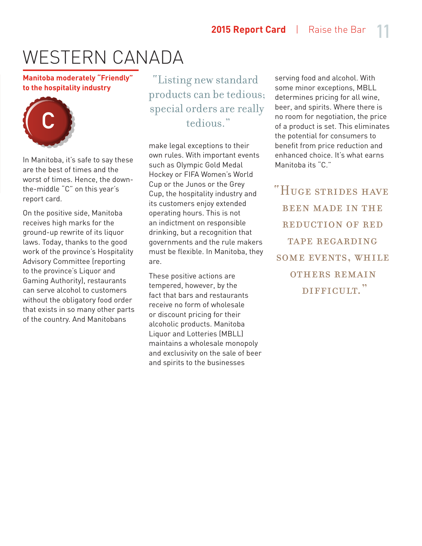#### **Manitoba moderately "Friendly" to the hospitality industry**



In Manitoba, it's safe to say these are the best of times and the worst of times. Hence, the downthe-middle "C" on this year's report card.

On the positive side, Manitoba receives high marks for the ground-up rewrite of its liquor laws. Today, thanks to the good work of the province's Hospitality Advisory Committee (reporting to the province's Liquor and Gaming Authority), restaurants can serve alcohol to customers without the obligatory food order that exists in so many other parts of the country. And Manitobans

"Listing new standard products can be tedious; special orders are really tedious."

make legal exceptions to their own rules. With important events such as Olympic Gold Medal Hockey or FIFA Women's World Cup or the Junos or the Grey Cup, the hospitality industry and its customers enjoy extended operating hours. This is not an indictment on responsible drinking, but a recognition that governments and the rule makers must be flexible. In Manitoba, they are.

These positive actions are tempered, however, by the fact that bars and restaurants receive no form of wholesale or discount pricing for their alcoholic products. Manitoba Liquor and Lotteries (MBLL) maintains a wholesale monopoly and exclusivity on the sale of beer and spirits to the businesses

serving food and alcohol. With some minor exceptions, MBLL determines pricing for all wine, beer, and spirits. Where there is no room for negotiation, the price of a product is set. This eliminates the potential for consumers to benefit from price reduction and enhanced choice. It's what earns Manitoba its "C."

"Huge strides have been made in the REDUCTION OF RED tape regarding some events, while others remain DIFFICULT."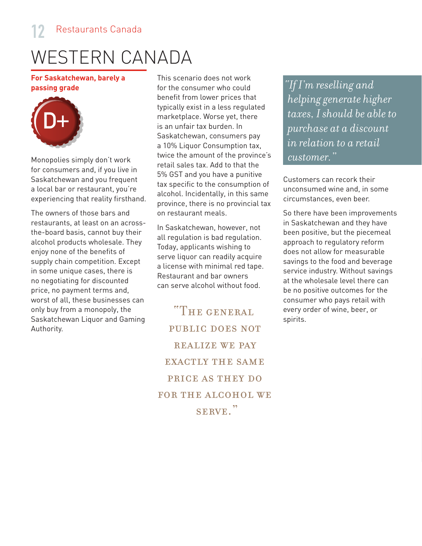**For Saskatchewan, barely a passing grade**



Monopolies simply don't work for consumers and, if you live in Saskatchewan and you frequent a local bar or restaurant, you're experiencing that reality firsthand.

The owners of those bars and restaurants, at least on an acrossthe-board basis, cannot buy their alcohol products wholesale. They enjoy none of the benefits of supply chain competition. Except in some unique cases, there is no negotiating for discounted price, no payment terms and, worst of all, these businesses can only buy from a monopoly, the Saskatchewan Liquor and Gaming Authority.

This scenario does not work for the consumer who could benefit from lower prices that typically exist in a less regulated marketplace. Worse yet, there is an unfair tax burden. In Saskatchewan, consumers pay a 10% Liquor Consumption tax, twice the amount of the province's retail sales tax. Add to that the 5% GST and you have a punitive tax specific to the consumption of alcohol. Incidentally, in this same province, there is no provincial tax on restaurant meals.

In Saskatchewan, however, not all regulation is bad regulation. Today, applicants wishing to serve liquor can readily acquire a license with minimal red tape. Restaurant and bar owners can serve alcohol without food.

"The general public does not REALIZE WE PAY EXACTLY THE SAME price as they do FOR THE ALCOHOL WE serve."

*"If I'm reselling and helping generate higher taxes, I should be able to purchase at a discount in relation to a retail customer."*

Customers can recork their unconsumed wine and, in some circumstances, even beer.

So there have been improvements in Saskatchewan and they have been positive, but the piecemeal approach to regulatory reform does not allow for measurable savings to the food and beverage service industry. Without savings at the wholesale level there can be no positive outcomes for the consumer who pays retail with every order of wine, beer, or spirits.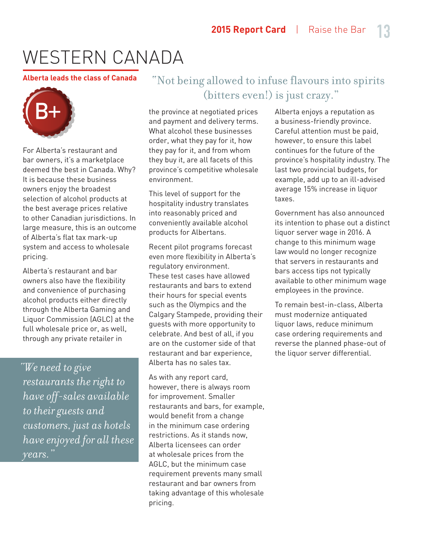#### **Alberta leads the class of Canada**



For Alberta's restaurant and bar owners, it's a marketplace deemed the best in Canada. Why? It is because these business owners enjoy the broadest selection of alcohol products at the best average prices relative to other Canadian jurisdictions. In large measure, this is an outcome of Alberta's flat tax mark-up system and access to wholesale pricing.

Alberta's restaurant and bar owners also have the flexibility and convenience of purchasing alcohol products either directly through the Alberta Gaming and Liquor Commission (AGLC) at the full wholesale price or, as well, through any private retailer in

*"We need to give restaurants the right to have off-sales available to their guests and customers, just as hotels have enjoyed for all these years."*

#### "Not being allowed to infuse flavours into spirits (bitters even!) is just crazy."

the province at negotiated prices and payment and delivery terms. What alcohol these businesses order, what they pay for it, how they pay for it, and from whom they buy it, are all facets of this province's competitive wholesale environment.

This level of support for the hospitality industry translates into reasonably priced and conveniently available alcohol products for Albertans.

Recent pilot programs forecast even more flexibility in Alberta's regulatory environment. These test cases have allowed restaurants and bars to extend their hours for special events such as the Olympics and the Calgary Stampede, providing their guests with more opportunity to celebrate. And best of all, if you are on the customer side of that restaurant and bar experience, Alberta has no sales tax.

As with any report card, however, there is always room for improvement. Smaller restaurants and bars, for example, would benefit from a change in the minimum case ordering restrictions. As it stands now, Alberta licensees can order at wholesale prices from the AGLC, but the minimum case requirement prevents many small restaurant and bar owners from taking advantage of this wholesale pricing.

Alberta enjoys a reputation as a business-friendly province. Careful attention must be paid, however, to ensure this label continues for the future of the province's hospitality industry. The last two provincial budgets, for example, add up to an ill-advised average 15% increase in liquor taxes.

Government has also announced its intention to phase out a distinct liquor server wage in 2016. A change to this minimum wage law would no longer recognize that servers in restaurants and bars access tips not typically available to other minimum wage employees in the province.

To remain best-in-class, Alberta must modernize antiquated liquor laws, reduce minimum case ordering requirements and reverse the planned phase-out of the liquor server differential.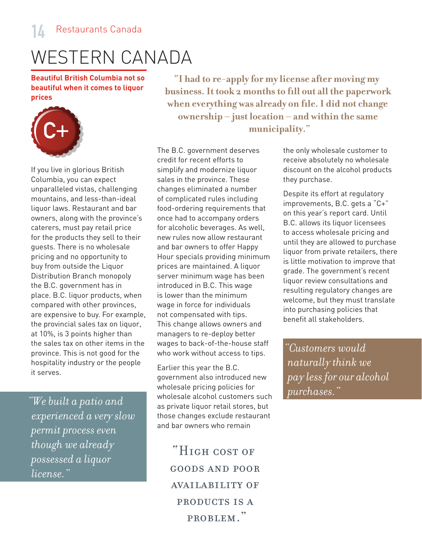**Beautiful British Columbia not so beautiful when it comes to liquor prices**



If you live in glorious British Columbia, you can expect unparalleled vistas, challenging mountains, and less-than-ideal liquor laws. Restaurant and bar owners, along with the province's caterers, must pay retail price for the products they sell to their guests. There is no wholesale pricing and no opportunity to buy from outside the Liquor Distribution Branch monopoly the B.C. government has in place. B.C. liquor products, when compared with other provinces, are expensive to buy. For example, the provincial sales tax on liquor, at 10%, is 3 points higher than the sales tax on other items in the province. This is not good for the hospitality industry or the people it serves.

*experienced a very slow permit process even though we already possessed a liquor license."*

**"I had to re-apply for my license after moving my business. It took 2 months to fill out all the paperwork when everything was already on file. I did not change ownership – just location – and within the same municipality."**

The B.C. government deserves credit for recent efforts to simplify and modernize liquor sales in the province. These changes eliminated a number of complicated rules including food-ordering requirements that once had to accompany orders for alcoholic beverages. As well, new rules now allow restaurant and bar owners to offer Happy Hour specials providing minimum prices are maintained. A liquor server minimum wage has been introduced in B.C. This wage is lower than the minimum wage in force for individuals not compensated with tips. This change allows owners and managers to re-deploy better wages to back-of-the-house staff who work without access to tips.

Earlier this year the B.C. government also introduced new wholesale pricing policies for wholesale alcohol customers such as private liquor retail stores, but those changes exclude restaurant and bar owners who remain *purchases."*<br> *purchases."*<br> *purchases."*<br> *purchases."* 

> "High cost of goods and poor availability of products is a problem."

the only wholesale customer to receive absolutely no wholesale discount on the alcohol products they purchase.

Despite its effort at regulatory improvements, B.C. gets a "C+" on this year's report card. Until B.C. allows its liquor licensees to access wholesale pricing and until they are allowed to purchase liquor from private retailers, there is little motivation to improve that grade. The government's recent liquor review consultations and resulting regulatory changes are welcome, but they must translate into purchasing policies that benefit all stakeholders.

*"Customers would naturally think we pay less for our alcohol*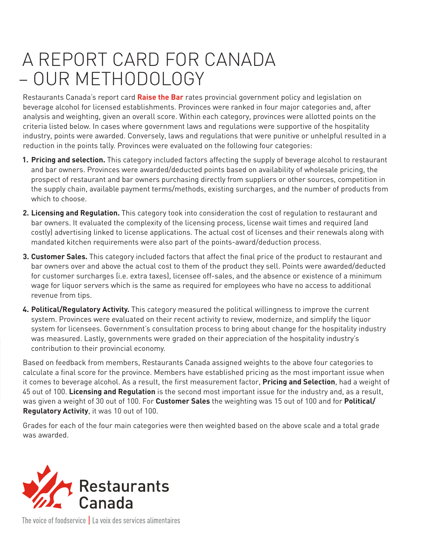### A REPORT CARD FOR CANADA – OUR METHODOLOGY

Restaurants Canada's report card **Raise the Bar** rates provincial government policy and legislation on beverage alcohol for licensed establishments. Provinces were ranked in four major categories and, after analysis and weighting, given an overall score. Within each category, provinces were allotted points on the criteria listed below. In cases where government laws and regulations were supportive of the hospitality industry, points were awarded. Conversely, laws and regulations that were punitive or unhelpful resulted in a reduction in the points tally. Provinces were evaluated on the following four categories:

- **1. Pricing and selection.** This category included factors affecting the supply of beverage alcohol to restaurant and bar owners. Provinces were awarded/deducted points based on availability of wholesale pricing, the prospect of restaurant and bar owners purchasing directly from suppliers or other sources, competition in the supply chain, available payment terms/methods, existing surcharges, and the number of products from which to choose
- **2. Licensing and Regulation.** This category took into consideration the cost of regulation to restaurant and bar owners. It evaluated the complexity of the licensing process, license wait times and required (and costly) advertising linked to license applications. The actual cost of licenses and their renewals along with mandated kitchen requirements were also part of the points-award/deduction process.
- **3. Customer Sales.** This category included factors that affect the final price of the product to restaurant and bar owners over and above the actual cost to them of the product they sell. Points were awarded/deducted for customer surcharges (i.e. extra taxes), licensee off-sales, and the absence or existence of a minimum wage for liquor servers which is the same as required for employees who have no access to additional revenue from tips.
- **4. Political/Regulatory Activity.** This category measured the political willingness to improve the current system. Provinces were evaluated on their recent activity to review, modernize, and simplify the liquor system for licensees. Government's consultation process to bring about change for the hospitality industry was measured. Lastly, governments were graded on their appreciation of the hospitality industry's contribution to their provincial economy.

Based on feedback from members, Restaurants Canada assigned weights to the above four categories to calculate a final score for the province. Members have established pricing as the most important issue when it comes to beverage alcohol. As a result, the first measurement factor, **Pricing and Selection**, had a weight of 45 out of 100. **Licensing and Regulation** is the second most important issue for the industry and, as a result, was given a weight of 30 out of 100. For **Customer Sales** the weighting was 15 out of 100 and for **Political/ Regulatory Activity**, it was 10 out of 100.

Grades for each of the four main categories were then weighted based on the above scale and a total grade was awarded.



The voice of foodservice | La voix des services alimentaires